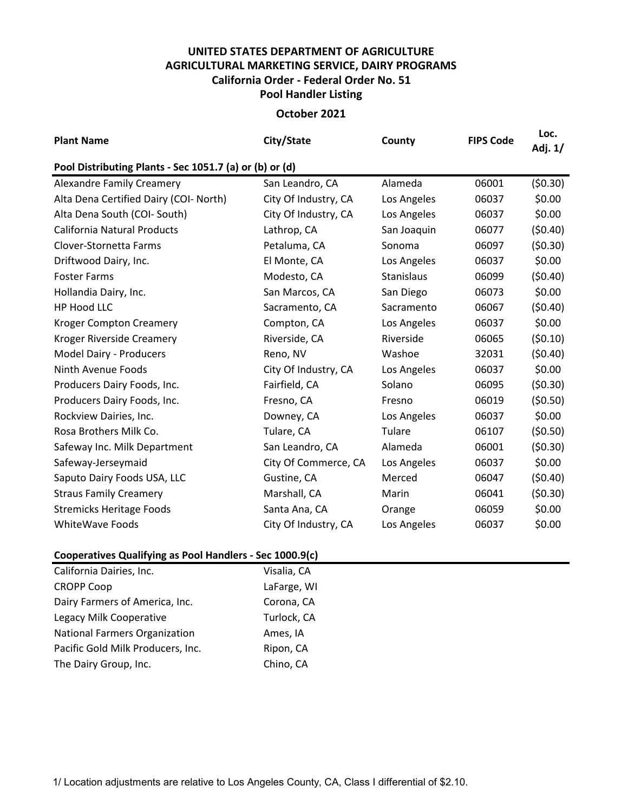## **UNITED STATES DEPARTMENT OF AGRICULTURE AGRICULTURAL MARKETING SERVICE, DAIRY PROGRAMS Pool Handler Listing California Order - Federal Order No. 51**

## **October 2021**

| <b>Plant Name</b>                                       | City/State           | County      | <b>FIPS Code</b> | Loc.<br>Adj. 1/ |  |  |  |  |  |
|---------------------------------------------------------|----------------------|-------------|------------------|-----------------|--|--|--|--|--|
| Pool Distributing Plants - Sec 1051.7 (a) or (b) or (d) |                      |             |                  |                 |  |  |  |  |  |
| <b>Alexandre Family Creamery</b>                        | San Leandro, CA      | Alameda     | 06001            | (50.30)         |  |  |  |  |  |
| Alta Dena Certified Dairy (COI- North)                  | City Of Industry, CA | Los Angeles | 06037            | \$0.00          |  |  |  |  |  |
| Alta Dena South (COI- South)                            | City Of Industry, CA | Los Angeles | 06037            | \$0.00          |  |  |  |  |  |
| <b>California Natural Products</b>                      | Lathrop, CA          | San Joaquin | 06077            | (50.40)         |  |  |  |  |  |
| Clover-Stornetta Farms                                  | Petaluma, CA         | Sonoma      | 06097            | (50.30)         |  |  |  |  |  |
| Driftwood Dairy, Inc.                                   | El Monte, CA         | Los Angeles | 06037            | \$0.00          |  |  |  |  |  |
| <b>Foster Farms</b>                                     | Modesto, CA          | Stanislaus  | 06099            | (50.40)         |  |  |  |  |  |
| Hollandia Dairy, Inc.                                   | San Marcos, CA       | San Diego   | 06073            | \$0.00          |  |  |  |  |  |
| HP Hood LLC                                             | Sacramento, CA       | Sacramento  | 06067            | (50.40)         |  |  |  |  |  |
| <b>Kroger Compton Creamery</b>                          | Compton, CA          | Los Angeles | 06037            | \$0.00          |  |  |  |  |  |
| Kroger Riverside Creamery                               | Riverside, CA        | Riverside   | 06065            | (50.10)         |  |  |  |  |  |
| <b>Model Dairy - Producers</b>                          | Reno, NV             | Washoe      | 32031            | (50.40)         |  |  |  |  |  |
| Ninth Avenue Foods                                      | City Of Industry, CA | Los Angeles | 06037            | \$0.00          |  |  |  |  |  |
| Producers Dairy Foods, Inc.                             | Fairfield, CA        | Solano      | 06095            | (50.30)         |  |  |  |  |  |
| Producers Dairy Foods, Inc.                             | Fresno, CA           | Fresno      | 06019            | (50.50)         |  |  |  |  |  |
| Rockview Dairies, Inc.                                  | Downey, CA           | Los Angeles | 06037            | \$0.00          |  |  |  |  |  |
| Rosa Brothers Milk Co.                                  | Tulare, CA           | Tulare      | 06107            | (50.50)         |  |  |  |  |  |
| Safeway Inc. Milk Department                            | San Leandro, CA      | Alameda     | 06001            | (50.30)         |  |  |  |  |  |
| Safeway-Jerseymaid                                      | City Of Commerce, CA | Los Angeles | 06037            | \$0.00          |  |  |  |  |  |
| Saputo Dairy Foods USA, LLC                             | Gustine, CA          | Merced      | 06047            | (50.40)         |  |  |  |  |  |
| <b>Straus Family Creamery</b>                           | Marshall, CA         | Marin       | 06041            | (50.30)         |  |  |  |  |  |
| <b>Stremicks Heritage Foods</b>                         | Santa Ana, CA        | Orange      | 06059            | \$0.00          |  |  |  |  |  |
| <b>WhiteWave Foods</b>                                  | City Of Industry, CA | Los Angeles | 06037            | \$0.00          |  |  |  |  |  |

## **Cooperatives Qualifying as Pool Handlers - Sec 1000.9(c)**

| California Dairies, Inc.             | Visalia, CA |
|--------------------------------------|-------------|
| <b>CROPP Coop</b>                    | LaFarge, WI |
| Dairy Farmers of America, Inc.       | Corona, CA  |
| Legacy Milk Cooperative              | Turlock, CA |
| <b>National Farmers Organization</b> | Ames, IA    |
| Pacific Gold Milk Producers, Inc.    | Ripon, CA   |
| The Dairy Group, Inc.                | Chino, CA   |